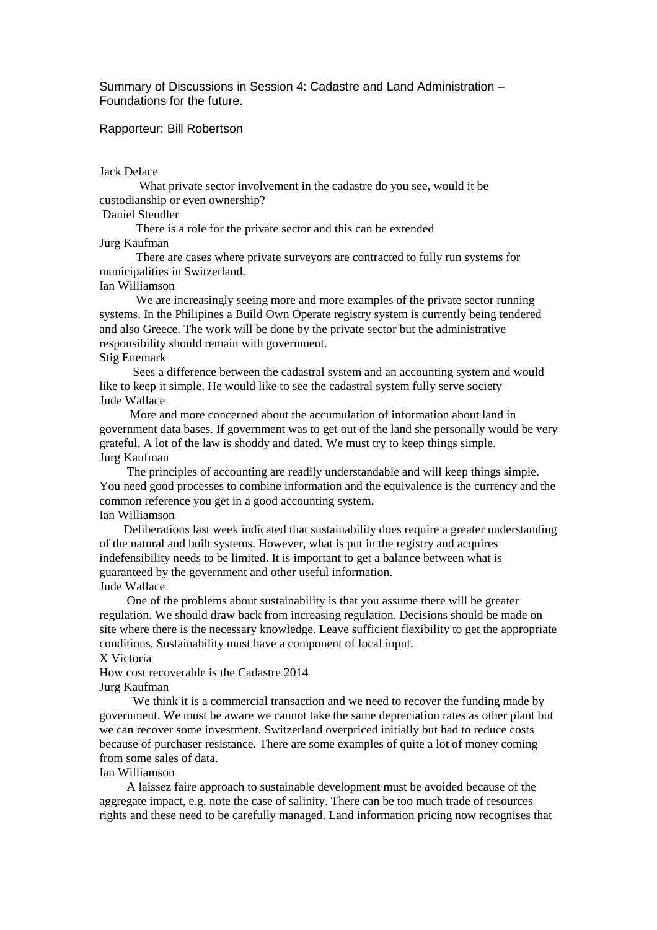Summary of Discussions in Session 4: Cadastre and Land Administration – Foundations for the future.

Rapporteur: Bill Robertson

#### Jack Delace

 What private sector involvement in the cadastre do you see, would it be custodianship or even ownership?

### Daniel Steudler

There is a role for the private sector and this can be extended

# Jurg Kaufman

 There are cases where private surveyors are contracted to fully run systems for municipalities in Switzerland.

#### Ian Williamson

We are increasingly seeing more and more examples of the private sector running systems. In the Philipines a Build Own Operate registry system is currently being tendered and also Greece. The work will be done by the private sector but the administrative responsibility should remain with government.

# Stig Enemark

 Sees a difference between the cadastral system and an accounting system and would like to keep it simple. He would like to see the cadastral system fully serve society Jude Wallace

 More and more concerned about the accumulation of information about land in government data bases. If government was to get out of the land she personally would be very grateful. A lot of the law is shoddy and dated. We must try to keep things simple. Jurg Kaufman

 The principles of accounting are readily understandable and will keep things simple. You need good processes to combine information and the equivalence is the currency and the common reference you get in a good accounting system.

# Ian Williamson

 Deliberations last week indicated that sustainability does require a greater understanding of the natural and built systems. However, what is put in the registry and acquires indefensibility needs to be limited. It is important to get a balance between what is guaranteed by the government and other useful information. Jude Wallace

 One of the problems about sustainability is that you assume there will be greater regulation. We should draw back from increasing regulation. Decisions should be made on site where there is the necessary knowledge. Leave sufficient flexibility to get the appropriate conditions. Sustainability must have a component of local input.

# X Victoria

How cost recoverable is the Cadastre 2014 Jurg Kaufman

 We think it is a commercial transaction and we need to recover the funding made by government. We must be aware we cannot take the same depreciation rates as other plant but we can recover some investment. Switzerland overpriced initially but had to reduce costs because of purchaser resistance. There are some examples of quite a lot of money coming from some sales of data.

## Ian Williamson

 A laissez faire approach to sustainable development must be avoided because of the aggregate impact, e.g. note the case of salinity. There can be too much trade of resources rights and these need to be carefully managed. Land information pricing now recognises that